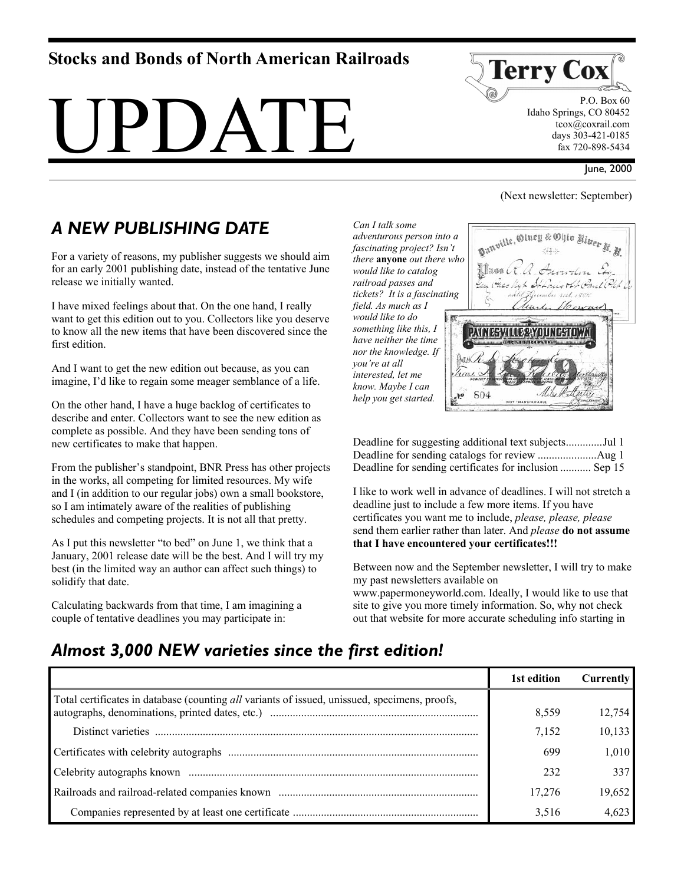# **Stocks and Bonds of North American Railroads**





 P.O. Box 60 Idaho Springs, CO 80452 tcox@coxrail.com days 303-421-0185 fax 720-898-5434

### June, 2000

### (Next newsletter: September)

# *A NEW PUBLISHING DATE*

For a variety of reasons, my publisher suggests we should aim for an early 2001 publishing date, instead of the tentative June release we initially wanted.

I have mixed feelings about that. On the one hand, I really want to get this edition out to you. Collectors like you deserve to know all the new items that have been discovered since the first edition.

And I want to get the new edition out because, as you can imagine, I'd like to regain some meager semblance of a life.

On the other hand, I have a huge backlog of certificates to describe and enter. Collectors want to see the new edition as complete as possible. And they have been sending tons of new certificates to make that happen.

From the publisher's standpoint, BNR Press has other projects in the works, all competing for limited resources. My wife and I (in addition to our regular jobs) own a small bookstore, so I am intimately aware of the realities of publishing schedules and competing projects. It is not all that pretty.

As I put this newsletter "to bed" on June 1, we think that a January, 2001 release date will be the best. And I will try my best (in the limited way an author can affect such things) to solidify that date.

Calculating backwards from that time, I am imagining a couple of tentative deadlines you may participate in:

*adventurous person into a fascinating project? Isn't there* **anyone** *out there who would like to catalog railroad passes and tickets? It is a fascinating field. As much as I would like to do something like this, I have neither the time nor the knowledge. If you're at all interested, let me know. Maybe I can help you get started.* 



| Deadline for sending certificates for inclusion  Sep 15 |  |
|---------------------------------------------------------|--|

I like to work well in advance of deadlines. I will not stretch a deadline just to include a few more items. If you have certificates you want me to include, *please, please, please* send them earlier rather than later. And *please* **do not assume that I have encountered your certificates!!!** 

Between now and the September newsletter, I will try to make my past newsletters available on

www.papermoneyworld.com. Ideally, I would like to use that site to give you more timely information. So, why not check out that website for more accurate scheduling info starting in

## *Almost 3,000 NEW varieties since the first edition!*

|                                                                                               | 1st edition | Currently |
|-----------------------------------------------------------------------------------------------|-------------|-----------|
| Total certificates in database (counting all variants of issued, unissued, specimens, proofs, | 8.559       | 12.754    |
|                                                                                               | 7,152       | 10,133    |
|                                                                                               | 699         | 1,010     |
|                                                                                               | 232         | 337       |
|                                                                                               | 17.276      | 19,652    |
|                                                                                               | 3.516       | 4.623     |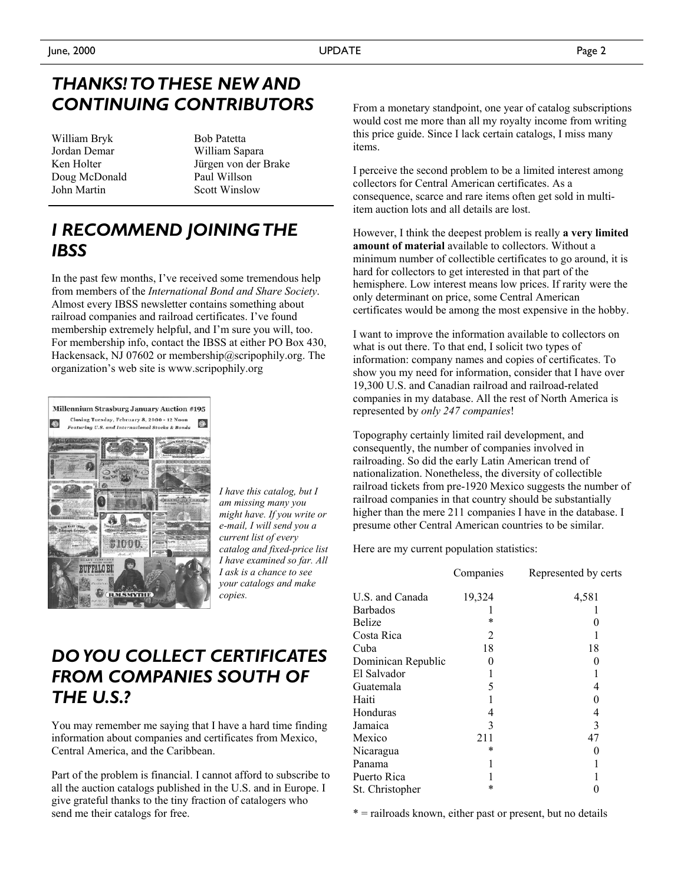# *THANKS! TO THESE NEW AND CONTINUING CONTRIBUTORS*

William Bryk Jordan Demar Ken Holter Doug McDonald John Martin

Bob Patetta William Sapara Jürgen von der Brake Paul Willson Scott Winslow

# *I RECOMMEND JOINING THE IBSS*

In the past few months, I've received some tremendous help from members of the *International Bond and Share Society*. Almost every IBSS newsletter contains something about railroad companies and railroad certificates. I've found membership extremely helpful, and I'm sure you will, too. For membership info, contact the IBSS at either PO Box 430, Hackensack, NJ 07602 or membership@scripophily.org. The organization's web site is www.scripophily.org



*I have this catalog, but I am missing many you might have. If you write or e-mail, I will send you a current list of every catalog and fixed-price list I have examined so far. All I ask is a chance to see your catalogs and make copies.* 

# *DO YOU COLLECT CERTIFICATES FROM COMPANIES SOUTH OF THE U.S.?*

You may remember me saying that I have a hard time finding information about companies and certificates from Mexico, Central America, and the Caribbean.

Part of the problem is financial. I cannot afford to subscribe to all the auction catalogs published in the U.S. and in Europe. I give grateful thanks to the tiny fraction of catalogers who send me their catalogs for free.

From a monetary standpoint, one year of catalog subscriptions would cost me more than all my royalty income from writing this price guide. Since I lack certain catalogs, I miss many items.

I perceive the second problem to be a limited interest among collectors for Central American certificates. As a consequence, scarce and rare items often get sold in multiitem auction lots and all details are lost.

However, I think the deepest problem is really **a very limited amount of material** available to collectors. Without a minimum number of collectible certificates to go around, it is hard for collectors to get interested in that part of the hemisphere. Low interest means low prices. If rarity were the only determinant on price, some Central American certificates would be among the most expensive in the hobby.

I want to improve the information available to collectors on what is out there. To that end, I solicit two types of information: company names and copies of certificates. To show you my need for information, consider that I have over 19,300 U.S. and Canadian railroad and railroad-related companies in my database. All the rest of North America is represented by *only 247 companies*!

Topography certainly limited rail development, and consequently, the number of companies involved in railroading. So did the early Latin American trend of nationalization. Nonetheless, the diversity of collectible railroad tickets from pre-1920 Mexico suggests the number of railroad companies in that country should be substantially higher than the mere 211 companies I have in the database. I presume other Central American countries to be similar.

Here are my current population statistics:

|                    | Companies | Represented by certs |
|--------------------|-----------|----------------------|
| U.S. and Canada    | 19,324    | 4,581                |
| Barbados           |           |                      |
| Belize             | *         |                      |
| Costa Rica         | 2         |                      |
| Cuba               | 18        | 18                   |
| Dominican Republic | 0         |                      |
| El Salvador        |           |                      |
| Guatemala          | 5         | 4                    |
| Haiti              |           | 0                    |
| Honduras           | 4         | 4                    |
| Jamaica            | 3         | 3                    |
| Mexico             | 211       | 47                   |
| Nicaragua          | *         |                      |
| Panama             |           |                      |
| Puerto Rica        |           |                      |
| St. Christopher    |           |                      |
|                    |           |                      |

\* = railroads known, either past or present, but no details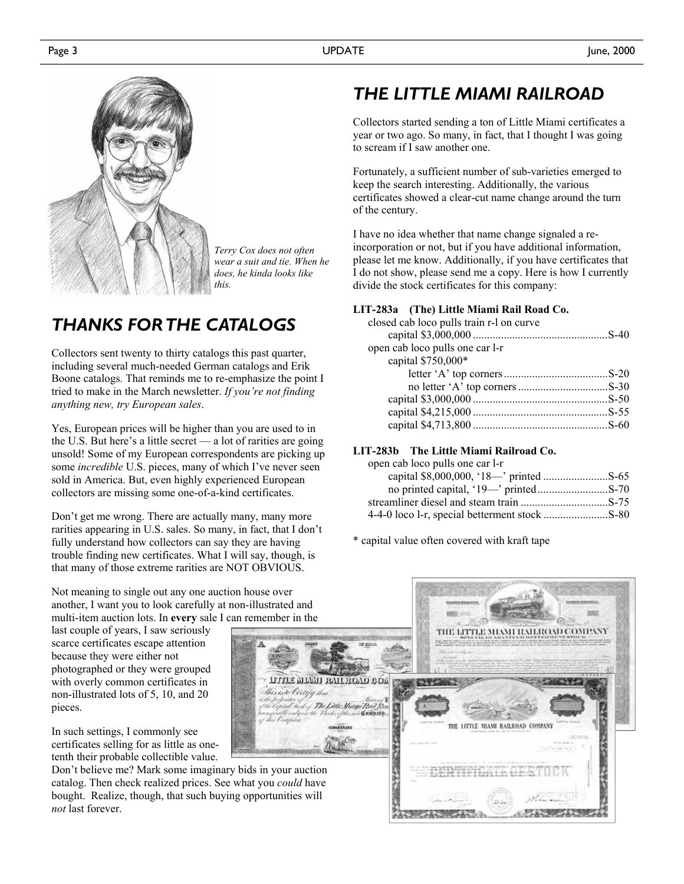

*Terry Cox does not often wear a suit and tie. When he does, he kinda looks like this.* 

# *THANKS FOR THE CATALOGS*

Collectors sent twenty to thirty catalogs this past quarter, including several much-needed German catalogs and Erik Boone catalogs. That reminds me to re-emphasize the point I tried to make in the March newsletter. *If you're not finding anything new, try European sales*.

Yes, European prices will be higher than you are used to in the U.S. But here's a little secret — a lot of rarities are going unsold! Some of my European correspondents are picking up some *incredible* U.S. pieces, many of which I've never seen sold in America. But, even highly experienced European collectors are missing some one-of-a-kind certificates.

Don't get me wrong. There are actually many, many more rarities appearing in U.S. sales. So many, in fact, that I don't fully understand how collectors can say they are having trouble finding new certificates. What I will say, though, is that many of those extreme rarities are NOT OBVIOUS.

# *THE LITTLE MIAMI RAILROAD*

Collectors started sending a ton of Little Miami certificates a year or two ago. So many, in fact, that I thought I was going to scream if I saw another one.

Fortunately, a sufficient number of sub-varieties emerged to keep the search interesting. Additionally, the various certificates showed a clear-cut name change around the turn of the century.

I have no idea whether that name change signaled a reincorporation or not, but if you have additional information, please let me know. Additionally, if you have certificates that I do not show, please send me a copy. Here is how I currently divide the stock certificates for this company:

## **LIT-283a (The) Little Miami Rail Road Co.**

| closed cab loco pulls train r-1 on curve |  |
|------------------------------------------|--|
|                                          |  |
| open cab loco pulls one car l-r          |  |
| capital \$750,000*                       |  |
|                                          |  |
|                                          |  |
|                                          |  |
|                                          |  |
|                                          |  |
|                                          |  |

## **LIT-283b The Little Miami Railroad Co.**

| open cab loco pulls one car l-r |  |
|---------------------------------|--|
|                                 |  |
|                                 |  |
|                                 |  |
|                                 |  |

\* capital value often covered with kraft tape

Not meaning to single out any one auction house over another, I want you to look carefully at non-illustrated and multi-item auction lots. In **every** sale I can remember in the

last couple of years, I saw seriously scarce certificates escape attention because they were either not photographed or they were grouped with overly common certificates in non-illustrated lots of 5, 10, and 20 pieces.

In such settings, I commonly see certificates selling for as little as onetenth their probable collectible value.

Don't believe me? Mark some imaginary bids in your auction catalog. Then check realized prices. See what you *could* have bought. Realize, though, that such buying opportunities will *not* last forever.